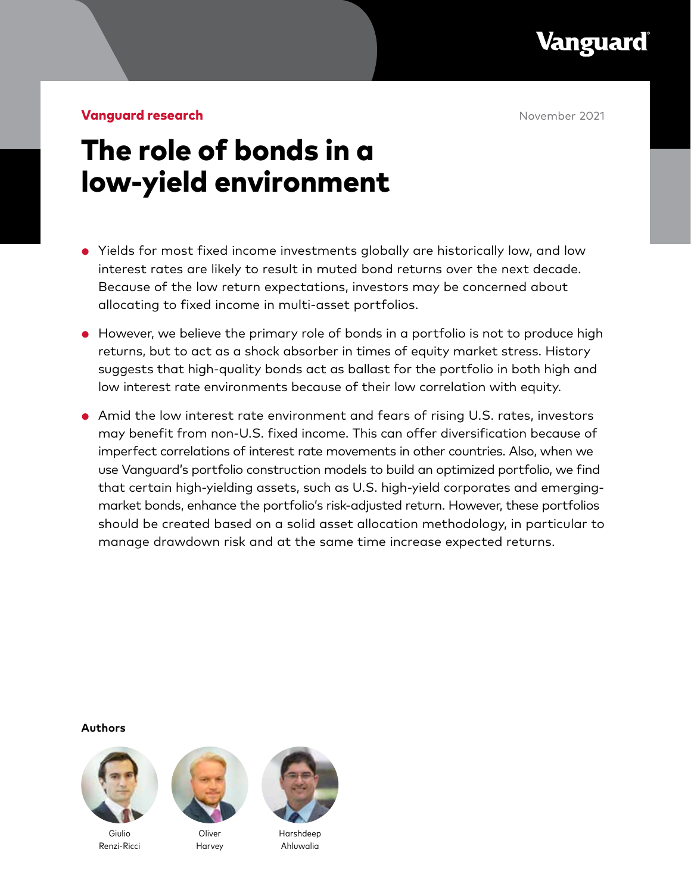Vanguard

**Vanguard research November 2021** 

# The role of bonds in a low-yield environment

- Yields for most fixed income investments globally are historically low, and low interest rates are likely to result in muted bond returns over the next decade. Because of the low return expectations, investors may be concerned about allocating to fixed income in multi-asset portfolios.
- However, we believe the primary role of bonds in a portfolio is not to produce high returns, but to act as a shock absorber in times of equity market stress. History suggests that high-quality bonds act as ballast for the portfolio in both high and low interest rate environments because of their low correlation with equity.
- Amid the low interest rate environment and fears of rising U.S. rates, investors may benefit from non-U.S. fixed income. This can offer diversification because of imperfect correlations of interest rate movements in other countries. Also, when we use Vanguard's portfolio construction models to build an optimized portfolio, we find that certain high-yielding assets, such as U.S. high-yield corporates and emergingmarket bonds, enhance the portfolio's risk-adjusted return. However, these portfolios should be created based on a solid asset allocation methodology, in particular to manage drawdown risk and at the same time increase expected returns.

**Authors**



Giulio Renzi-Ricci



Harvey



Harshdeep Ahluwalia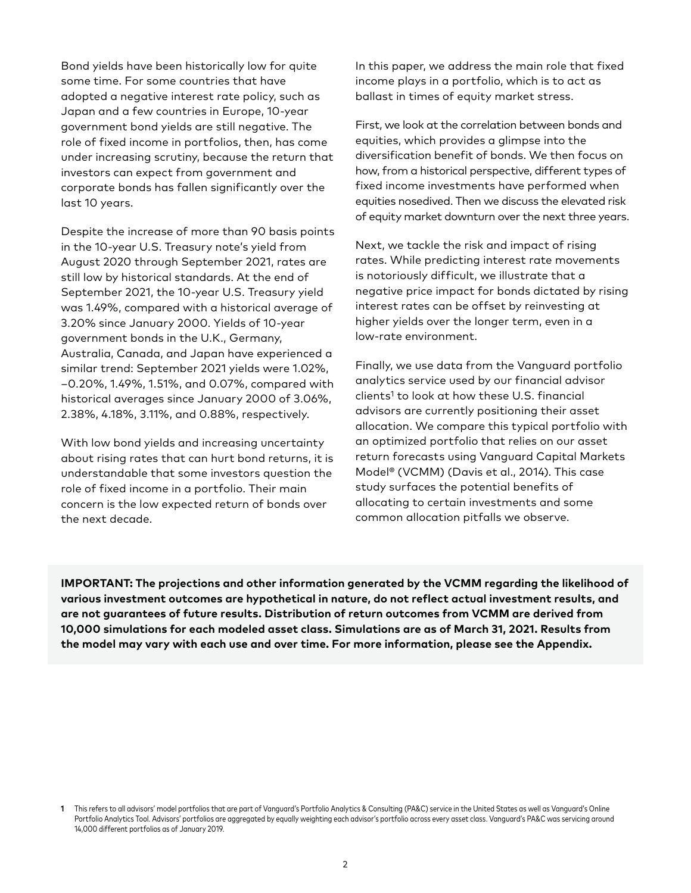Bond yields have been historically low for quite some time. For some countries that have adopted a negative interest rate policy, such as Japan and a few countries in Europe, 10-year government bond yields are still negative. The role of fixed income in portfolios, then, has come under increasing scrutiny, because the return that investors can expect from government and corporate bonds has fallen significantly over the last 10 years.

Despite the increase of more than 90 basis points in the 10-year U.S. Treasury note's yield from August 2020 through September 2021, rates are still low by historical standards. At the end of September 2021, the 10-year U.S. Treasury yield was 1.49%, compared with a historical average of 3.20% since January 2000. Yields of 10-year government bonds in the U.K., Germany, Australia, Canada, and Japan have experienced a similar trend: September 2021 yields were 1.02%, –0.20%, 1.49%, 1.51%, and 0.07%, compared with historical averages since January 2000 of 3.06%, 2.38%, 4.18%, 3.11%, and 0.88%, respectively.

With low bond yields and increasing uncertainty about rising rates that can hurt bond returns, it is understandable that some investors question the role of fixed income in a portfolio. Their main concern is the low expected return of bonds over the next decade.

In this paper, we address the main role that fixed income plays in a portfolio, which is to act as ballast in times of equity market stress.

First, we look at the correlation between bonds and equities, which provides a glimpse into the diversification benefit of bonds. We then focus on how, from a historical perspective, different types of fixed income investments have performed when equities nosedived. Then we discuss the elevated risk of equity market downturn over the next three years.

Next, we tackle the risk and impact of rising rates. While predicting interest rate movements is notoriously difficult, we illustrate that a negative price impact for bonds dictated by rising interest rates can be offset by reinvesting at higher yields over the longer term, even in a low-rate environment.

Finally, we use data from the Vanguard portfolio analytics service used by our financial advisor clients<sup>1</sup> to look at how these U.S. financial advisors are currently positioning their asset allocation. We compare this typical portfolio with an optimized portfolio that relies on our asset return forecasts using Vanguard Capital Markets Model® (VCMM) (Davis et al., 2014). This case study surfaces the potential benefits of allocating to certain investments and some common allocation pitfalls we observe.

**IMPORTANT: The projections and other information generated by the VCMM regarding the likelihood of various investment outcomes are hypothetical in nature, do not reflect actual investment results, and are not guarantees of future results. Distribution of return outcomes from VCMM are derived from 10,000 simulations for each modeled asset class. Simulations are as of March 31, 2021. Results from the model may vary with each use and over time. For more information, please see the Appendix.**

**<sup>1</sup>** This refers to all advisors' model portfolios that are part of Vanguard's Portfolio Analytics & Consulting (PA&C) service in the United States as well as Vanguard's Online Portfolio Analytics Tool. Advisors' portfolios are aggregated by equally weighting each advisor's portfolio across every asset class. Vanguard's PA&C was servicing around 14,000 different portfolios as of January 2019.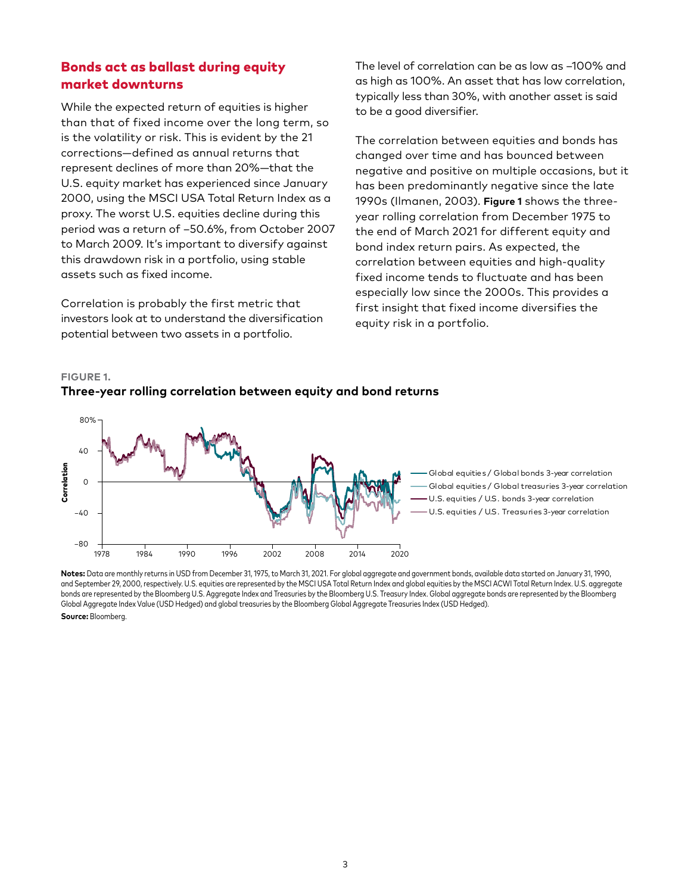# Bonds act as ballast during equity market downturns

While the expected return of equities is higher than that of fixed income over the long term, so is the volatility or risk. This is evident by the 21 corrections—defined as annual returns that represent declines of more than 20%—that the U.S. equity market has experienced since January 2000, using the MSCI USA Total Return Index as a proxy. The worst U.S. equities decline during this period was a return of –50.6%, from October 2007 to March 2009. It's important to diversify against this drawdown risk in a portfolio, using stable assets such as fixed income.

Correlation is probably the first metric that investors look at to understand the diversification potential between two assets in a portfolio.

The level of correlation can be as low as –100% and as high as 100%. An asset that has low correlation, typically less than 30%, with another asset is said to be a good diversifier.

The correlation between equities and bonds has changed over time and has bounced between negative and positive on multiple occasions, but it has been predominantly negative since the late 1990s (Ilmanen, 2003). **Figure 1** shows the threeyear rolling correlation from December 1975 to the end of March 2021 for different equity and bond index return pairs. As expected, the correlation between equities and high-quality fixed income tends to fluctuate and has been especially low since the 2000s. This provides a first insight that fixed income diversifies the equity risk in a portfolio.



**FIGURE 1.**

**Three-year rolling correlation between equity and bond returns**

U.S. equities / U.S. bonds 3-year correlation Global equities / Global bonds 3-year correlation U.S. equities / U.S. Treasuries 3-year correlation Global equities / Global treasuries 3-year correlation

**Notes:** Data are monthly returns in USD from December 31, 1975, to March 31, 2021. For global aggregate and government bonds, available data started on January 31, 1990, and September 29, 2000, respectively. U.S. equities are represented by the MSCI USA Total Return Index and global equities by the MSCI ACWI Total Return Index. U.S. aggregate bonds are represented by the Bloomberg U.S. Aggregate Index and Treasuries by the Bloomberg U.S. Treasury Index. Global aggregate bonds are represented by the Bloomberg Global Aggregate Index Value (USD Hedged) and global treasuries by the Bloomberg Global Aggregate Treasuries Index (USD Hedged).

**Source:** Bloomberg.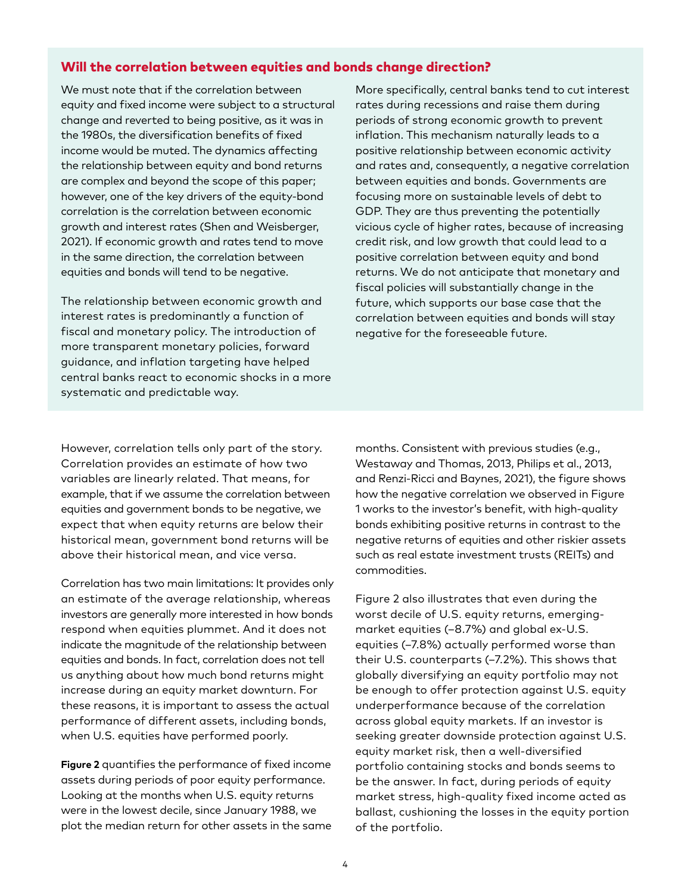## Will the correlation between equities and bonds change direction?

We must note that if the correlation between equity and fixed income were subject to a structural change and reverted to being positive, as it was in the 1980s, the diversification benefits of fixed income would be muted. The dynamics affecting the relationship between equity and bond returns are complex and beyond the scope of this paper; however, one of the key drivers of the equity-bond correlation is the correlation between economic growth and interest rates (Shen and Weisberger, 2021). If economic growth and rates tend to move in the same direction, the correlation between equities and bonds will tend to be negative.

The relationship between economic growth and interest rates is predominantly a function of fiscal and monetary policy. The introduction of more transparent monetary policies, forward guidance, and inflation targeting have helped central banks react to economic shocks in a more systematic and predictable way.

More specifically, central banks tend to cut interest rates during recessions and raise them during periods of strong economic growth to prevent inflation. This mechanism naturally leads to a positive relationship between economic activity and rates and, consequently, a negative correlation between equities and bonds. Governments are focusing more on sustainable levels of debt to GDP. They are thus preventing the potentially vicious cycle of higher rates, because of increasing credit risk, and low growth that could lead to a positive correlation between equity and bond returns. We do not anticipate that monetary and fiscal policies will substantially change in the future, which supports our base case that the correlation between equities and bonds will stay negative for the foreseeable future.

However, correlation tells only part of the story. Correlation provides an estimate of how two variables are linearly related. That means, for example, that if we assume the correlation between equities and government bonds to be negative, we expect that when equity returns are below their historical mean, government bond returns will be above their historical mean, and vice versa.

Correlation has two main limitations: It provides only an estimate of the average relationship, whereas investors are generally more interested in how bonds respond when equities plummet. And it does not indicate the magnitude of the relationship between equities and bonds. In fact, correlation does not tell us anything about how much bond returns might increase during an equity market downturn. For these reasons, it is important to assess the actual performance of different assets, including bonds, when U.S. equities have performed poorly.

**Figure 2** quantifies the performance of fixed income assets during periods of poor equity performance. Looking at the months when U.S. equity returns were in the lowest decile, since January 1988, we plot the median return for other assets in the same months. Consistent with previous studies (e.g., Westaway and Thomas, 2013, Philips et al., 2013, and Renzi-Ricci and Baynes, 2021), the figure shows how the negative correlation we observed in Figure 1 works to the investor's benefit, with high-quality bonds exhibiting positive returns in contrast to the negative returns of equities and other riskier assets such as real estate investment trusts (REITs) and commodities.

Figure 2 also illustrates that even during the worst decile of U.S. equity returns, emergingmarket equities (–8.7%) and global ex-U.S. equities (–7.8%) actually performed worse than their U.S. counterparts (–7.2%). This shows that globally diversifying an equity portfolio may not be enough to offer protection against U.S. equity underperformance because of the correlation across global equity markets. If an investor is seeking greater downside protection against U.S. equity market risk, then a well-diversified portfolio containing stocks and bonds seems to be the answer. In fact, during periods of equity market stress, high-quality fixed income acted as ballast, cushioning the losses in the equity portion of the portfolio.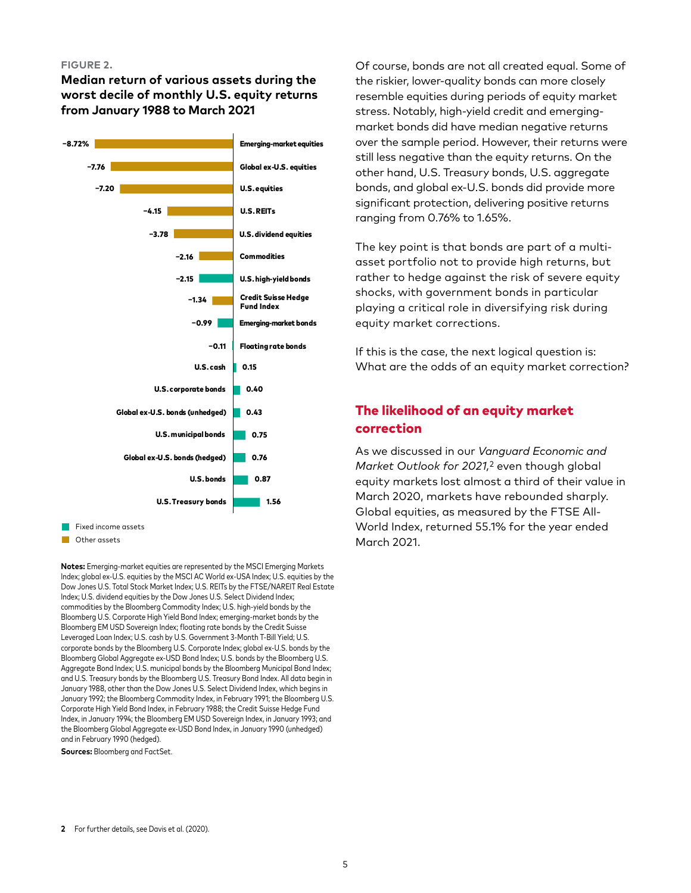#### **FIGURE 2.**

**Median return of various assets during the worst decile of monthly U.S. equity returns from January 1988 to March 2021**



Fixed income assets

**Other assets** 

**Notes:** Emerging-market equities are represented by the MSCI Emerging Markets Index; global ex-U.S. equities by the MSCI AC World ex-USA Index; U.S. equities by the Dow Jones U.S. Total Stock Market Index; U.S. REITs by the FTSE/NAREIT Real Estate Index; U.S. dividend equities by the Dow Jones U.S. Select Dividend Index; commodities by the Bloomberg Commodity Index; U.S. high-yield bonds by the Bloomberg U.S. Corporate High Yield Bond Index; emerging-market bonds by the Bloomberg EM USD Sovereign Index; floating rate bonds by the Credit Suisse Leveraged Loan Index; U.S. cash by U.S. Government 3-Month T-Bill Yield; U.S. corporate bonds by the Bloomberg U.S. Corporate Index; global ex-U.S. bonds by the Bloomberg Global Aggregate ex-USD Bond Index; U.S. bonds by the Bloomberg U.S. Aggregate Bond Index; U.S. municipal bonds by the Bloomberg Municipal Bond Index; and U.S. Treasury bonds by the Bloomberg U.S. Treasury Bond Index. All data begin in January 1988, other than the Dow Jones U.S. Select Dividend Index, which begins in January 1992; the Bloomberg Commodity Index, in February 1991; the Bloomberg U.S. Corporate High Yield Bond Index, in February 1988; the Credit Suisse Hedge Fund Index, in January 1994; the Bloomberg EM USD Sovereign Index, in January 1993; and the Bloomberg Global Aggregate ex-USD Bond Index, in January 1990 (unhedged) and in February 1990 (hedged).

**Sources:** Bloomberg and FactSet.

Of course, bonds are not all created equal. Some of the riskier, lower-quality bonds can more closely resemble equities during periods of equity market stress. Notably, high-yield credit and emergingmarket bonds did have median negative returns over the sample period. However, their returns were still less negative than the equity returns. On the other hand, U.S. Treasury bonds, U.S. aggregate bonds, and global ex-U.S. bonds did provide more significant protection, delivering positive returns ranging from 0.76% to 1.65%.

The key point is that bonds are part of a multiasset portfolio not to provide high returns, but rather to hedge against the risk of severe equity shocks, with government bonds in particular playing a critical role in diversifying risk during equity market corrections.

If this is the case, the next logical question is: What are the odds of an equity market correction?

# The likelihood of an equity market correction

As we discussed in our *Vanguard Economic and Market Outlook for 2021,*2 even though global equity markets lost almost a third of their value in March 2020, markets have rebounded sharply. Global equities, as measured by the FTSE All-World Index, returned 55.1% for the year ended March 2021.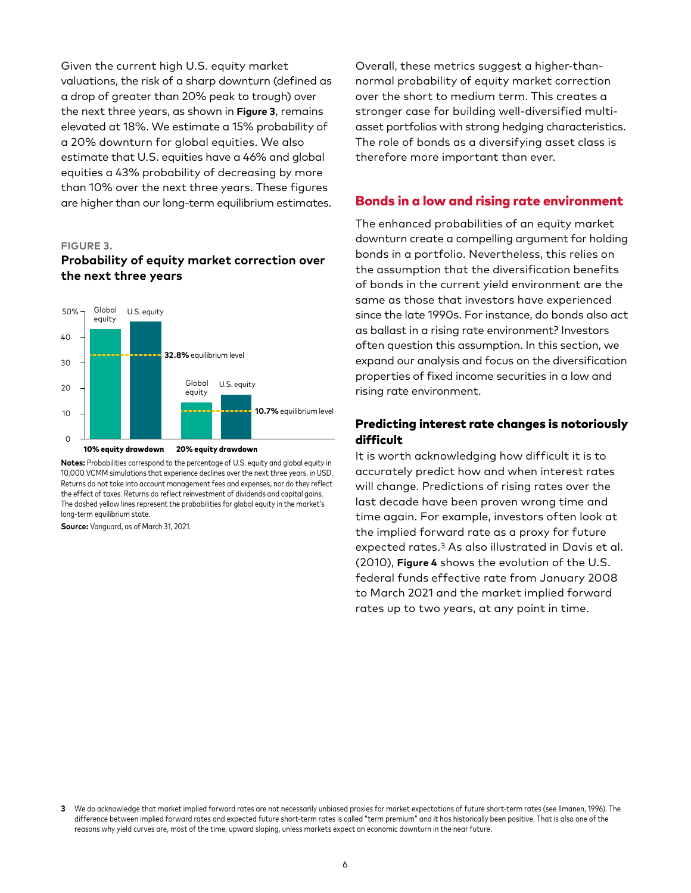Given the current high U.S. equity market valuations, the risk of a sharp downturn (defined as a drop of greater than 20% peak to trough) over the next three years, as shown in **Figure 3**, remains elevated at 18%. We estimate a 15% probability of a 20% downturn for global equities. We also estimate that U.S. equities have a 46% and global equities a 43% probability of decreasing by more than 10% over the next three years. These figures are higher than our long-term equilibrium estimates.

#### **FIGURE 3.**

## **Probability of equity market correction over the next three years**



**Notes:** Probabilities correspond to the percentage of U.S. equity and global equity in 10,000 VCMM simulations that experience declines over the next three years, in USD. Returns do not take into account management fees and expenses, nor do they reflect the effect of taxes. Returns do reflect reinvestment of dividends and capital gains. The dashed yellow lines represent the probabilities for global equity in the market's long-term equilibrium state.

**Source:** Vanguard, as of March 31, 2021.

Overall, these metrics suggest a higher-thannormal probability of equity market correction over the short to medium term. This creates a stronger case for building well-diversified multiasset portfolios with strong hedging characteristics. The role of bonds as a diversifying asset class is therefore more important than ever.

#### Bonds in a low and rising rate environment

The enhanced probabilities of an equity market downturn create a compelling argument for holding bonds in a portfolio. Nevertheless, this relies on the assumption that the diversification benefits of bonds in the current yield environment are the same as those that investors have experienced since the late 1990s. For instance, do bonds also act as ballast in a rising rate environment? Investors often question this assumption. In this section, we expand our analysis and focus on the diversification properties of fixed income securities in a low and rising rate environment.

## Predicting interest rate changes is notoriously difficult

It is worth acknowledging how difficult it is to accurately predict how and when interest rates will change. Predictions of rising rates over the last decade have been proven wrong time and time again. For example, investors often look at the implied forward rate as a proxy for future expected rates.3 As also illustrated in Davis et al. (2010), **Figure 4** shows the evolution of the U.S. federal funds effective rate from January 2008 to March 2021 and the market implied forward rates up to two years, at any point in time.

**<sup>3</sup>** We do acknowledge that market implied forward rates are not necessarily unbiased proxies for market expectations of future short-term rates (see Ilmanen, 1996). The difference between implied forward rates and expected future short-term rates is called "term premium" and it has historically been positive. That is also one of the reasons why yield curves are, most of the time, upward sloping, unless markets expect an economic downturn in the near future.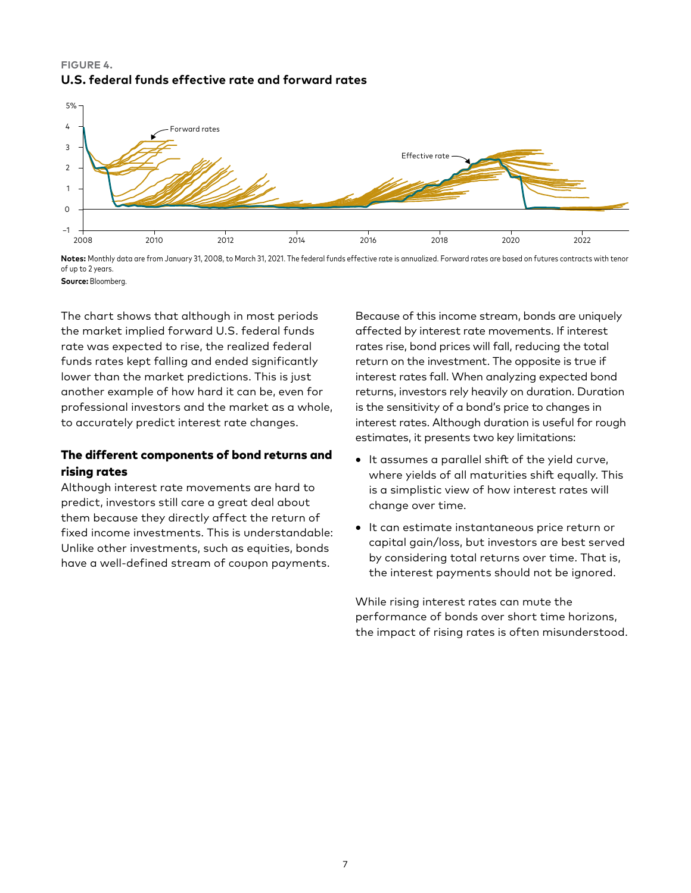## **FIGURE 4. U.S. federal funds effective rate and forward rates**



**Notes:** Monthly data are from January 31, 2008, to March 31, 2021. The federal funds effective rate is annualized. Forward rates are based on futures contracts with tenor of up to 2 years.

**Source:** Bloomberg.

The chart shows that although in most periods the market implied forward U.S. federal funds rate was expected to rise, the realized federal funds rates kept falling and ended significantly lower than the market predictions. This is just another example of how hard it can be, even for professional investors and the market as a whole, to accurately predict interest rate changes.

# The different components of bond returns and rising rates

Although interest rate movements are hard to predict, investors still care a great deal about them because they directly affect the return of fixed income investments. This is understandable: Unlike other investments, such as equities, bonds have a well-defined stream of coupon payments.

Because of this income stream, bonds are uniquely affected by interest rate movements. If interest rates rise, bond prices will fall, reducing the total return on the investment. The opposite is true if interest rates fall. When analyzing expected bond returns, investors rely heavily on duration. Duration is the sensitivity of a bond's price to changes in interest rates. Although duration is useful for rough estimates, it presents two key limitations:

- It assumes a parallel shift of the yield curve, where yields of all maturities shift equally. This is a simplistic view of how interest rates will change over time.
- It can estimate instantaneous price return or capital gain/loss, but investors are best served by considering total returns over time. That is, the interest payments should not be ignored.

While rising interest rates can mute the performance of bonds over short time horizons, the impact of rising rates is often misunderstood.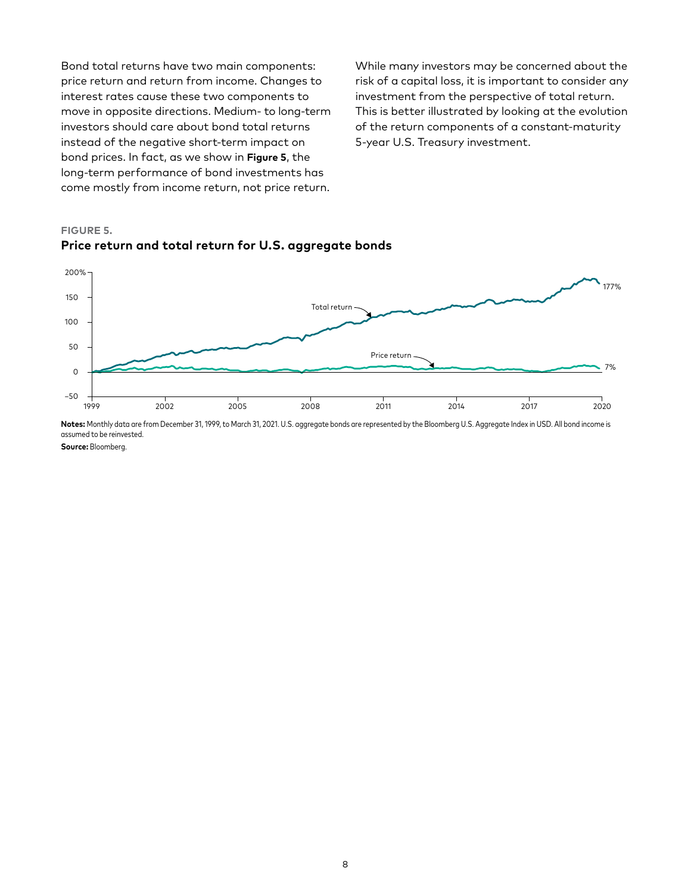Bond total returns have two main components: price return and return from income. Changes to interest rates cause these two components to move in opposite directions. Medium- to long-term investors should care about bond total returns instead of the negative short-term impact on bond prices. In fact, as we show in **Figure 5**, the long-term performance of bond investments has come mostly from income return, not price return. While many investors may be concerned about the risk of a capital loss, it is important to consider any investment from the perspective of total return. This is better illustrated by looking at the evolution of the return components of a constant-maturity 5-year U.S. Treasury investment.

## **FIGURE 5. Price return and total return for U.S. aggregate bonds**



**Notes:** Monthly data are from December 31, 1999, to March 31, 2021. U.S. aggregate bonds are represented by the Bloomberg U.S. Aggregate Index in USD. All bond income is assumed to be reinvested.

**Source:** Bloomberg.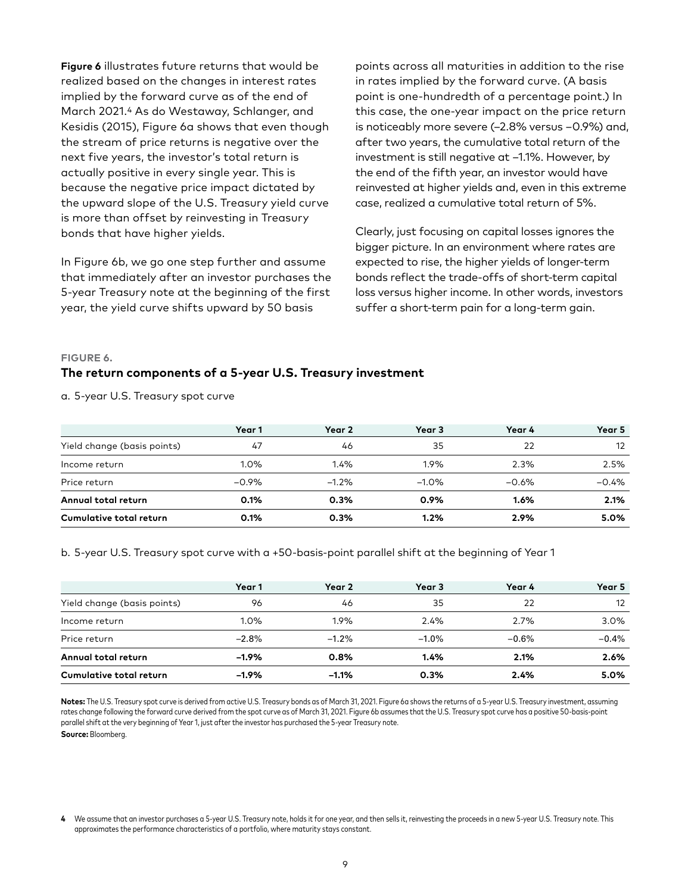**Figure 6** illustrates future returns that would be realized based on the changes in interest rates implied by the forward curve as of the end of March 2021.4 As do Westaway, Schlanger, and Kesidis (2015), Figure 6a shows that even though the stream of price returns is negative over the next five years, the investor's total return is actually positive in every single year. This is because the negative price impact dictated by the upward slope of the U.S. Treasury yield curve is more than offset by reinvesting in Treasury bonds that have higher yields.

In Figure 6b, we go one step further and assume that immediately after an investor purchases the 5-year Treasury note at the beginning of the first year, the yield curve shifts upward by 50 basis

points across all maturities in addition to the rise in rates implied by the forward curve. (A basis point is one-hundredth of a percentage point.) In this case, the one-year impact on the price return is noticeably more severe (–2.8% versus –0.9%) and, after two years, the cumulative total return of the investment is still negative at –1.1%. However, by the end of the fifth year, an investor would have reinvested at higher yields and, even in this extreme case, realized a cumulative total return of 5%.

Clearly, just focusing on capital losses ignores the bigger picture. In an environment where rates are expected to rise, the higher yields of longer-term bonds reflect the trade-offs of short-term capital loss versus higher income. In other words, investors suffer a short-term pain for a long-term gain.

#### **FIGURE 6.**

## **The return components of a 5-year U.S. Treasury investment**

a. 5-year U.S. Treasury spot curve

|                                | Year 1   | Year 2  | Year 3   | Year 4  | Year 5  |
|--------------------------------|----------|---------|----------|---------|---------|
| Yield change (basis points)    | 47       | 46      | 35       | 22      | 12      |
| Income return                  | 1.0%     | 1.4%    | 1.9%     | 2.3%    | 2.5%    |
| Price return                   | $-0.9\%$ | $-1.2%$ | $-1.0\%$ | $-0.6%$ | $-0.4%$ |
| Annual total return            | 0.1%     | 0.3%    | 0.9%     | 1.6%    | 2.1%    |
| <b>Cumulative total return</b> | 0.1%     | 0.3%    | 1.2%     | 2.9%    | 5.0%    |

b. 5-year U.S. Treasury spot curve with a +50-basis-point parallel shift at the beginning of Year 1

|                             | Year 1  | Year 2   | Year 3   | Year 4  | Year 5  |
|-----------------------------|---------|----------|----------|---------|---------|
| Yield change (basis points) | 96      | 46       | 35       | 22      | 12      |
| Income return               | 1.0%    | 1.9%     | 2.4%     | 2.7%    | 3.0%    |
| Price return                | $-2.8%$ | $-1.2%$  | $-1.0\%$ | $-0.6%$ | $-0.4%$ |
| Annual total return         | $-1.9%$ | 0.8%     | 1.4%     | 2.1%    | 2.6%    |
| Cumulative total return     | $-1.9%$ | $-1.1\%$ | 0.3%     | 2.4%    | 5.0%    |

Notes: The U.S. Treasury spot curve is derived from active U.S. Treasury bonds as of March 31, 2021. Figure 6a shows the returns of a 5-year U.S. Treasury investment, assuming rates change following the forward curve derived from the spot curve as of March 31, 2021. Figure 6b assumes that the U.S. Treasury spot curve has a positive 50-basis-point parallel shift at the very beginning of Year 1, just after the investor has purchased the 5-year Treasury note.

**Source:** Bloomberg.

We assume that an investor purchases a 5-year U.S. Treasury note, holds it for one year, and then sells it, reinvesting the proceeds in a new 5-year U.S. Treasury note. This approximates the performance characteristics of a portfolio, where maturity stays constant.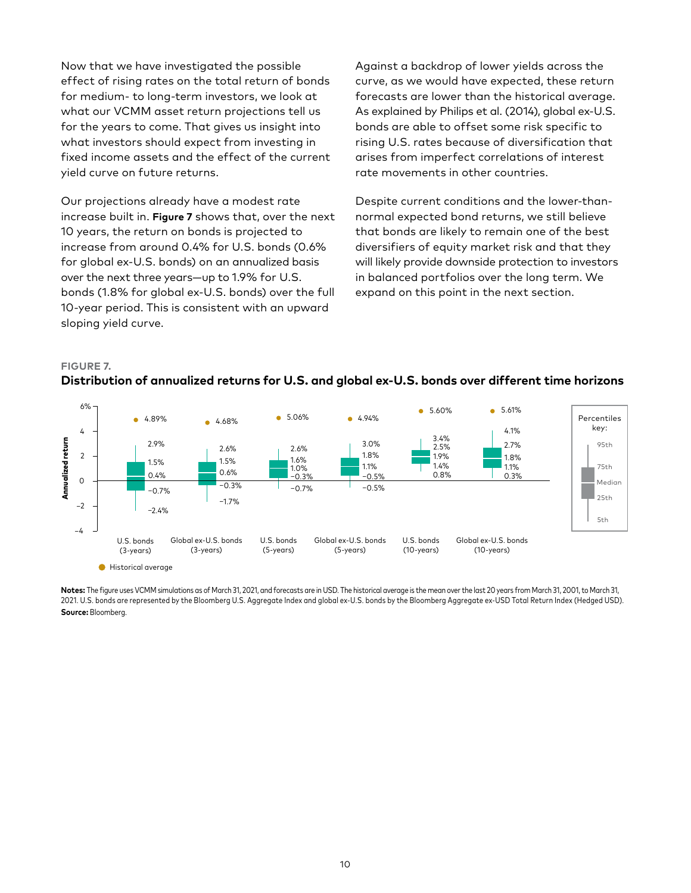Now that we have investigated the possible effect of rising rates on the total return of bonds for medium- to long-term investors, we look at what our VCMM asset return projections tell us for the years to come. That gives us insight into what investors should expect from investing in fixed income assets and the effect of the current yield curve on future returns.

Our projections already have a modest rate increase built in. **Figure 7** shows that, over the next 10 years, the return on bonds is projected to increase from around 0.4% for U.S. bonds (0.6% for global ex-U.S. bonds) on an annualized basis over the next three years—up to 1.9% for U.S. bonds (1.8% for global ex-U.S. bonds) over the full 10-year period. This is consistent with an upward sloping yield curve.

Against a backdrop of lower yields across the curve, as we would have expected, these return forecasts are lower than the historical average. As explained by Philips et al. (2014), global ex-U.S. bonds are able to offset some risk specific to rising U.S. rates because of diversification that arises from imperfect correlations of interest rate movements in other countries.

Despite current conditions and the lower-thannormal expected bond returns, we still believe that bonds are likely to remain one of the best diversifiers of equity market risk and that they will likely provide downside protection to investors in balanced portfolios over the long term. We expand on this point in the next section.

# **FIGURE 7. Distribution of annualized returns for U.S. and global ex-U.S. bonds over different time horizons**



Notes: The figure uses VCMM simulations as of March 31, 2021, and forecasts are in USD. The historical average is the mean over the last 20 years from March 31, 2001, to March 31, 2021. U.S. bonds are represented by the Bloomberg U.S. Aggregate Index and global ex-U.S. bonds by the Bloomberg Aggregate ex-USD Total Return Index (Hedged USD). **Source:** Bloomberg.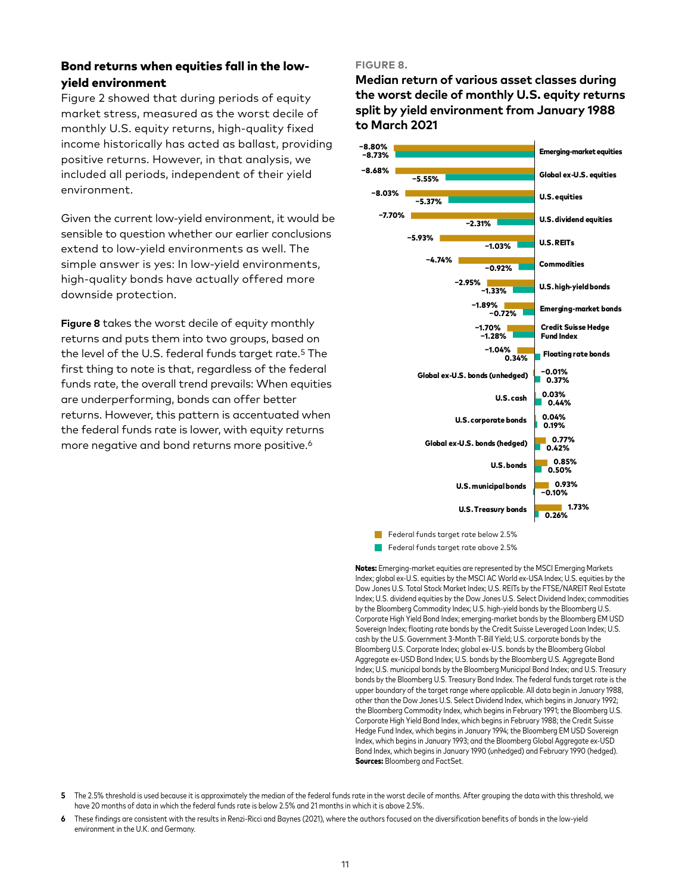# Bond returns when equities fall in the lowyield environment

Figure 2 showed that during periods of equity market stress, measured as the worst decile of monthly U.S. equity returns, high-quality fixed income historically has acted as ballast, providing positive returns. However, in that analysis, we included all periods, independent of their yield environment.

Given the current low-yield environment, it would be sensible to question whether our earlier conclusions extend to low-yield environments as well. The simple answer is yes: In low-yield environments, high-quality bonds have actually offered more downside protection.

**Figure 8** takes the worst decile of equity monthly returns and puts them into two groups, based on the level of the U.S. federal funds target rate.5 The first thing to note is that, regardless of the federal funds rate, the overall trend prevails: When equities are underperforming, bonds can offer better returns. However, this pattern is accentuated when the federal funds rate is lower, with equity returns more negative and bond returns more positive.<sup>6</sup>

#### **FIGURE 8.**

**Median return of various asset classes during the worst decile of monthly U.S. equity returns split by yield environment from January 1988 to March 2021**



Federal funds target rate below 2.5%

Federal funds target rate above 2.5%

Notes: Emerging-market equities are represented by the MSCI Emerging Markets Index; global ex-U.S. equities by the MSCI AC World ex-USA Index; U.S. equities by the Dow Jones U.S. Total Stock Market Index; U.S. REITs by the FTSE/NAREIT Real Estate Index; U.S. dividend equities by the Dow Jones U.S. Select Dividend Index; commodities by the Bloomberg Commodity Index; U.S. high-yield bonds by the Bloomberg U.S. Corporate High Yield Bond Index; emerging-market bonds by the Bloomberg EM USD Sovereign Index; floating rate bonds by the Credit Suisse Leveraged Loan Index; U.S. cash by the U.S. Government 3-Month T-Bill Yield; U.S. corporate bonds by the Bloomberg U.S. Corporate Index; global ex-U.S. bonds by the Bloomberg Global Aggregate ex-USD Bond Index; U.S. bonds by the Bloomberg U.S. Aggregate Bond Index; U.S. municipal bonds by the Bloomberg Municipal Bond Index; and U.S. Treasury bonds by the Bloomberg U.S. Treasury Bond Index. The federal funds target rate is the upper boundary of the target range where applicable. All data begin in January 1988, other than the Dow Jones U.S. Select Dividend Index, which begins in January 1992; the Bloomberg Commodity Index, which begins in February 1991; the Bloomberg U.S. Corporate High Yield Bond Index, which begins in February 1988; the Credit Suisse Hedge Fund Index, which begins in January 1994; the Bloomberg EM USD Sovereign Index, which begins in January 1993; and the Bloomberg Global Aggregate ex-USD Bond Index, which begins in January 1990 (unhedged) and February 1990 (hedged). Sources: Bloomberg and FactSet.

**6** These findings are consistent with the results in Renzi-Ricci and Baynes (2021), where the authors focused on the diversification benefits of bonds in the low-yield environment in the U.K. and Germany.

**<sup>5</sup>** The 2.5% threshold is used because it is approximately the median of the federal funds rate in the worst decile of months. After grouping the data with this threshold, we have 20 months of data in which the federal funds rate is below 2.5% and 21 months in which it is above 2.5%.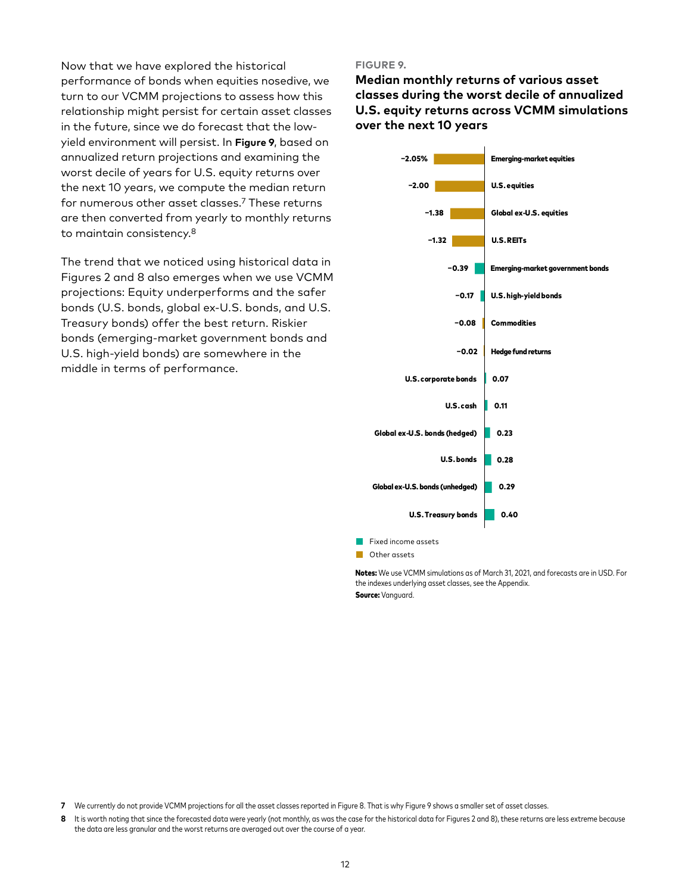Now that we have explored the historical performance of bonds when equities nosedive, we turn to our VCMM projections to assess how this relationship might persist for certain asset classes in the future, since we do forecast that the lowyield environment will persist. In **Figure 9**, based on annualized return projections and examining the worst decile of years for U.S. equity returns over the next 10 years, we compute the median return for numerous other asset classes.7 These returns are then converted from yearly to monthly returns to maintain consistency.8

The trend that we noticed using historical data in Figures 2 and 8 also emerges when we use VCMM projections: Equity underperforms and the safer bonds (U.S. bonds, global ex-U.S. bonds, and U.S. Treasury bonds) offer the best return. Riskier bonds (emerging-market government bonds and U.S. high-yield bonds) are somewhere in the middle in terms of performance.

#### **FIGURE 9.**

**Median monthly returns of various asset classes during the worst decile of annualized U.S. equity returns across VCMM simulations over the next 10 years**



Notes: We use VCMM simulations as of March 31, 2021, and forecasts are in USD. For the indexes underlying asset classes, see the Appendix. Source: Vanguard.

**8** It is worth noting that since the forecasted data were yearly (not monthly, as was the case for the historical data for Figures 2 and 8), these returns are less extreme because the data are less granular and the worst returns are averaged out over the course of a year.

**<sup>7</sup>** We currently do not provide VCMM projections for all the asset classes reported in Figure 8. That is why Figure 9 shows a smaller set of asset classes.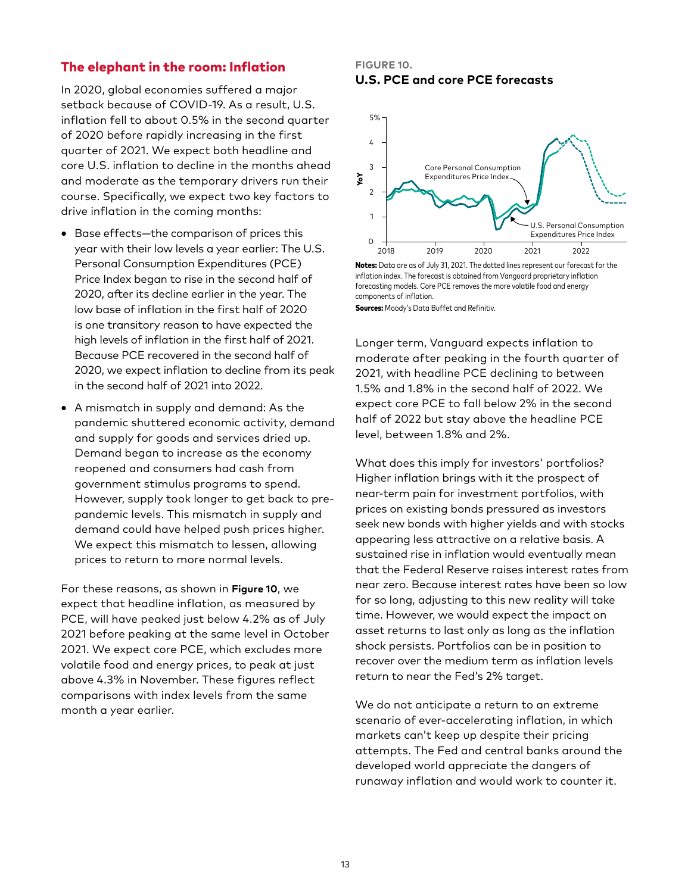# The elephant in the room: Inflation

In 2020, global economies suffered a major setback because of COVID-19. As a result, U.S. inflation fell to about 0.5% in the second quarter of 2020 before rapidly increasing in the first quarter of 2021. We expect both headline and core U.S. inflation to decline in the months ahead and moderate as the temporary drivers run their course. Specifically, we expect two key factors to drive inflation in the coming months:

- Base effects—the comparison of prices this year with their low levels a year earlier: The U.S. Personal Consumption Expenditures (PCE) Price Index began to rise in the second half of 2020, after its decline earlier in the year. The low base of inflation in the first half of 2020 is one transitory reason to have expected the high levels of inflation in the first half of 2021. Because PCE recovered in the second half of 2020, we expect inflation to decline from its peak in the second half of 2021 into 2022.
- A mismatch in supply and demand: As the pandemic shuttered economic activity, demand and supply for goods and services dried up. Demand began to increase as the economy reopened and consumers had cash from government stimulus programs to spend. However, supply took longer to get back to prepandemic levels. This mismatch in supply and demand could have helped push prices higher. We expect this mismatch to lessen, allowing prices to return to more normal levels.

For these reasons, as shown in **Figure 10**, we expect that headline inflation, as measured by PCE, will have peaked just below 4.2% as of July 2021 before peaking at the same level in October 2021. We expect core PCE, which excludes more volatile food and energy prices, to peak at just above 4.3% in November. These figures reflect comparisons with index levels from the same month a year earlier.

#### **FIGURE 10. U.S. PCE and core PCE forecasts**



Notes: Data are as of July 31, 2021. The dotted lines represent our forecast for the inflation index. The forecast is obtained from Vanguard proprietary inflation forecasting models. Core PCE removes the more volatile food and energy components of inflation.

**Sources:** Moody's Data Buffet and Refinitiv.

Longer term, Vanguard expects inflation to moderate after peaking in the fourth quarter of 2021, with headline PCE declining to between 1.5% and 1.8% in the second half of 2022. We expect core PCE to fall below 2% in the second half of 2022 but stay above the headline PCE level, between 1.8% and 2%.

What does this imply for investors' portfolios? Higher inflation brings with it the prospect of near-term pain for investment portfolios, with prices on existing bonds pressured as investors seek new bonds with higher yields and with stocks appearing less attractive on a relative basis. A sustained rise in inflation would eventually mean that the Federal Reserve raises interest rates from near zero. Because interest rates have been so low for so long, adjusting to this new reality will take time. However, we would expect the impact on asset returns to last only as long as the inflation shock persists. Portfolios can be in position to recover over the medium term as inflation levels return to near the Fed's 2% target.

We do not anticipate a return to an extreme scenario of ever-accelerating inflation, in which markets can't keep up despite their pricing attempts. The Fed and central banks around the developed world appreciate the dangers of runaway inflation and would work to counter it.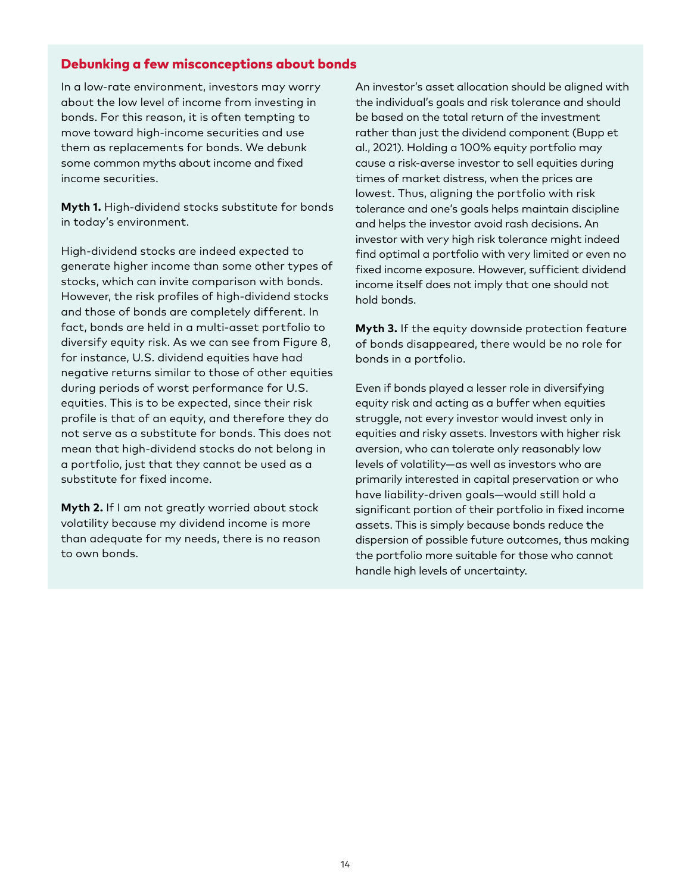## Debunking a few misconceptions about bonds

In a low-rate environment, investors may worry about the low level of income from investing in bonds. For this reason, it is often tempting to move toward high-income securities and use them as replacements for bonds. We debunk some common myths about income and fixed income securities.

**Myth 1.** High-dividend stocks substitute for bonds in today's environment.

High-dividend stocks are indeed expected to generate higher income than some other types of stocks, which can invite comparison with bonds. However, the risk profiles of high-dividend stocks and those of bonds are completely different. In fact, bonds are held in a multi-asset portfolio to diversify equity risk. As we can see from Figure 8, for instance, U.S. dividend equities have had negative returns similar to those of other equities during periods of worst performance for U.S. equities. This is to be expected, since their risk profile is that of an equity, and therefore they do not serve as a substitute for bonds. This does not mean that high-dividend stocks do not belong in a portfolio, just that they cannot be used as a substitute for fixed income.

**Myth 2.** If I am not greatly worried about stock volatility because my dividend income is more than adequate for my needs, there is no reason to own bonds.

An investor's asset allocation should be aligned with the individual's goals and risk tolerance and should be based on the total return of the investment rather than just the dividend component (Bupp et al., 2021). Holding a 100% equity portfolio may cause a risk-averse investor to sell equities during times of market distress, when the prices are lowest. Thus, aligning the portfolio with risk tolerance and one's goals helps maintain discipline and helps the investor avoid rash decisions. An investor with very high risk tolerance might indeed find optimal a portfolio with very limited or even no fixed income exposure. However, sufficient dividend income itself does not imply that one should not hold bonds.

**Myth 3.** If the equity downside protection feature of bonds disappeared, there would be no role for bonds in a portfolio.

Even if bonds played a lesser role in diversifying equity risk and acting as a buffer when equities struggle, not every investor would invest only in equities and risky assets. Investors with higher risk aversion, who can tolerate only reasonably low levels of volatility—as well as investors who are primarily interested in capital preservation or who have liability-driven goals—would still hold a significant portion of their portfolio in fixed income assets. This is simply because bonds reduce the dispersion of possible future outcomes, thus making the portfolio more suitable for those who cannot handle high levels of uncertainty.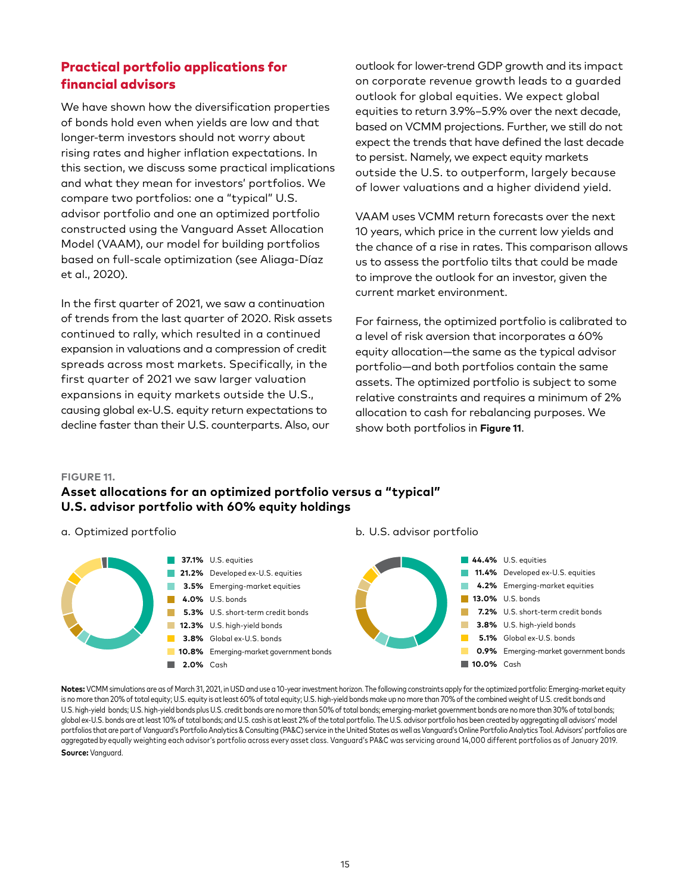# Practical portfolio applications for financial advisors

We have shown how the diversification properties of bonds hold even when yields are low and that longer-term investors should not worry about rising rates and higher inflation expectations. In this section, we discuss some practical implications and what they mean for investors' portfolios. We compare two portfolios: one a "typical" U.S. advisor portfolio and one an optimized portfolio constructed using the Vanguard Asset Allocation Model (VAAM), our model for building portfolios based on full-scale optimization (see Aliaga-Díaz et al., 2020).

In the first quarter of 2021, we saw a continuation of trends from the last quarter of 2020. Risk assets continued to rally, which resulted in a continued expansion in valuations and a compression of credit spreads across most markets. Specifically, in the first quarter of 2021 we saw larger valuation expansions in equity markets outside the U.S., causing global ex-U.S. equity return expectations to decline faster than their U.S. counterparts. Also, our

outlook for lower-trend GDP growth and its impact on corporate revenue growth leads to a guarded outlook for global equities. We expect global equities to return 3.9%–5.9% over the next decade, based on VCMM projections. Further, we still do not expect the trends that have defined the last decade to persist. Namely, we expect equity markets outside the U.S. to outperform, largely because of lower valuations and a higher dividend yield.

VAAM uses VCMM return forecasts over the next 10 years, which price in the current low yields and the chance of a rise in rates. This comparison allows us to assess the portfolio tilts that could be made to improve the outlook for an investor, given the current market environment.

For fairness, the optimized portfolio is calibrated to a level of risk aversion that incorporates a 60% equity allocation—the same as the typical advisor portfolio—and both portfolios contain the same assets. The optimized portfolio is subject to some relative constraints and requires a minimum of 2% allocation to cash for rebalancing purposes. We show both portfolios in **Figure 11**.

#### **FIGURE 11.**

# **Asset allocations for an optimized portfolio versus a "typical" U.S. advisor portfolio with 60% equity holdings**

a. Optimized portfolio



b. U.S. advisor portfolio

**Notes:** VCMM simulations are as of March 31, 2021, in USD and use a 10-year investment horizon. The following constraints apply for the optimized portfolio: Emerging-market equity is no more than 20% of total equity; U.S. equity is at least 60% of total equity; U.S. high-yield bonds make up no more than 70% of the combined weight of U.S. credit bonds and U.S. high-yield bonds; U.S. high-yield bonds plus U.S. credit bonds are no more than 50% of total bonds; emerging-market government bonds are no more than 30% of total bonds; global ex-U.S. bonds are at least 10% of total bonds; and U.S. cash is at least 2% of the total portfolio. The U.S. advisor portfolio has been created by aggregating all advisors' model portfolios that are part of Vanguard's Portfolio Analytics & Consulting (PA&C) service in the United States as well as Vanguard's Online Portfolio Analytics Tool. Advisors' portfolios are aggregated by equally weighting each advisor's portfolio across every asset class. Vanguard's PA&C was servicing around 14,000 different portfolios as of January 2019. **Source:** Vanguard.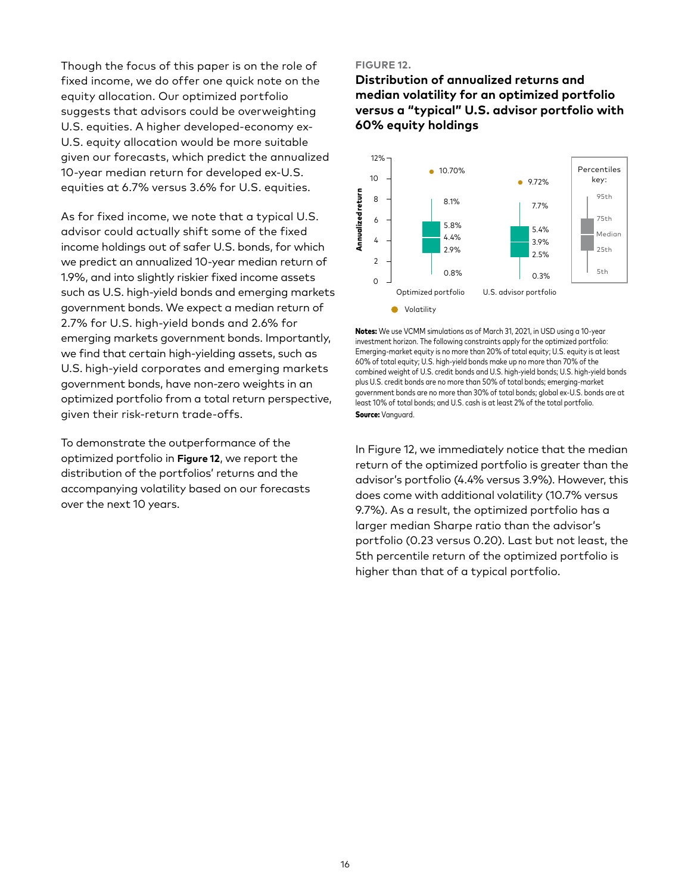Though the focus of this paper is on the role of fixed income, we do offer one quick note on the equity allocation. Our optimized portfolio suggests that advisors could be overweighting U.S. equities. A higher developed-economy ex-U.S. equity allocation would be more suitable given our forecasts, which predict the annualized 10-year median return for developed ex-U.S. equities at 6.7% versus 3.6% for U.S. equities.

As for fixed income, we note that a typical U.S. advisor could actually shift some of the fixed income holdings out of safer U.S. bonds, for which we predict an annualized 10-year median return of 1.9%, and into slightly riskier fixed income assets such as U.S. high-yield bonds and emerging markets government bonds. We expect a median return of 2.7% for U.S. high-yield bonds and 2.6% for emerging markets government bonds. Importantly, we find that certain high-yielding assets, such as U.S. high-yield corporates and emerging markets government bonds, have non-zero weights in an optimized portfolio from a total return perspective, given their risk-return trade-offs.

To demonstrate the outperformance of the optimized portfolio in **Figure 12**, we report the distribution of the portfolios' returns and the accompanying volatility based on our forecasts over the next 10 years.

#### **FIGURE 12.**

**Distribution of annualized returns and median volatility for an optimized portfolio versus a "typical" U.S. advisor portfolio with 60% equity holdings** 



Notes: We use VCMM simulations as of March 31, 2021, in USD using a 10-year investment horizon. The following constraints apply for the optimized portfolio: Emerging-market equity is no more than 20% of total equity; U.S. equity is at least 60% of total equity; U.S. high-yield bonds make up no more than 70% of the combined weight of U.S. credit bonds and U.S. high-yield bonds; U.S. high-yield bonds plus U.S. credit bonds are no more than 50% of total bonds; emerging-market government bonds are no more than 30% of total bonds; global ex-U.S. bonds are at least 10% of total bonds; and U.S. cash is at least 2% of the total portfolio. Source: Vanauard.

In Figure 12, we immediately notice that the median return of the optimized portfolio is greater than the advisor's portfolio (4.4% versus 3.9%). However, this does come with additional volatility (10.7% versus 9.7%). As a result, the optimized portfolio has a larger median Sharpe ratio than the advisor's portfolio (0.23 versus 0.20). Last but not least, the 5th percentile return of the optimized portfolio is higher than that of a typical portfolio.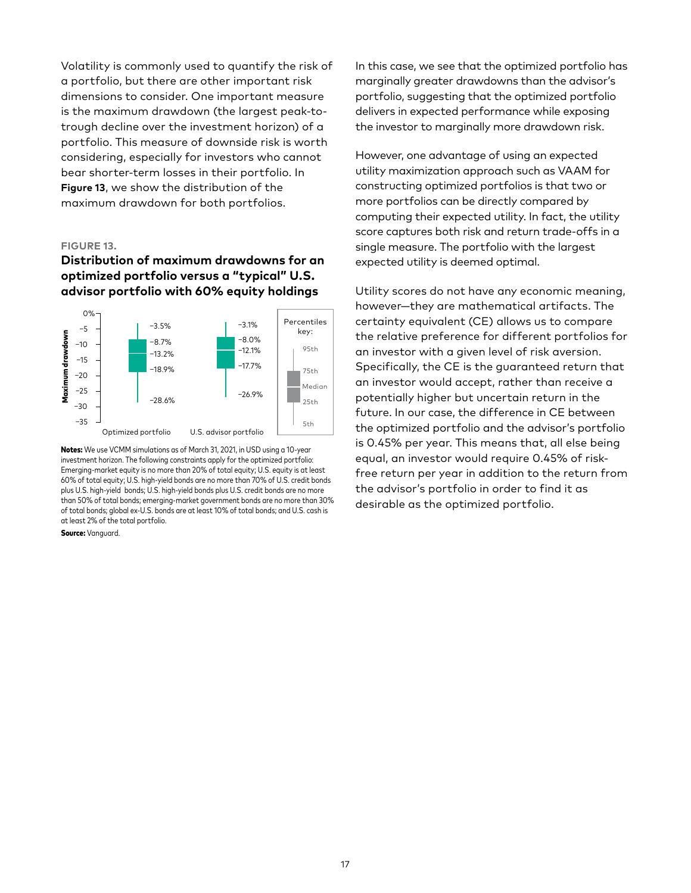Volatility is commonly used to quantify the risk of a portfolio, but there are other important risk dimensions to consider. One important measure is the maximum drawdown (the largest peak-totrough decline over the investment horizon) of a portfolio. This measure of downside risk is worth considering, especially for investors who cannot bear shorter-term losses in their portfolio. In **Figure 13**, we show the distribution of the maximum drawdown for both portfolios.

#### **FIGURE 13.**

## **Distribution of maximum drawdowns for an optimized portfolio versus a "typical" U.S. advisor portfolio with 60% equity holdings**



Notes: We use VCMM simulations as of March 31, 2021, in USD using a 10-year investment horizon. The following constraints apply for the optimized portfolio: Emerging-market equity is no more than 20% of total equity; U.S. equity is at least 60% of total equity; U.S. high-yield bonds are no more than 70% of U.S. credit bonds plus U.S. high-yield bonds; U.S. high-yield bonds plus U.S. credit bonds are no more than 50% of total bonds; emerging-market government bonds are no more than 30% of total bonds; global ex-U.S. bonds are at least 10% of total bonds; and U.S. cash is at least 2% of the total portfolio.

#### Source: Vanguard.

In this case, we see that the optimized portfolio has marginally greater drawdowns than the advisor's portfolio, suggesting that the optimized portfolio delivers in expected performance while exposing the investor to marginally more drawdown risk.

However, one advantage of using an expected utility maximization approach such as VAAM for constructing optimized portfolios is that two or more portfolios can be directly compared by computing their expected utility. In fact, the utility score captures both risk and return trade-offs in a single measure. The portfolio with the largest expected utility is deemed optimal.

Utility scores do not have any economic meaning, however—they are mathematical artifacts. The certainty equivalent (CE) allows us to compare the relative preference for different portfolios for an investor with a given level of risk aversion. Specifically, the CE is the guaranteed return that an investor would accept, rather than receive a potentially higher but uncertain return in the future. In our case, the difference in CE between the optimized portfolio and the advisor's portfolio is 0.45% per year. This means that, all else being equal, an investor would require 0.45% of riskfree return per year in addition to the return from the advisor's portfolio in order to find it as desirable as the optimized portfolio.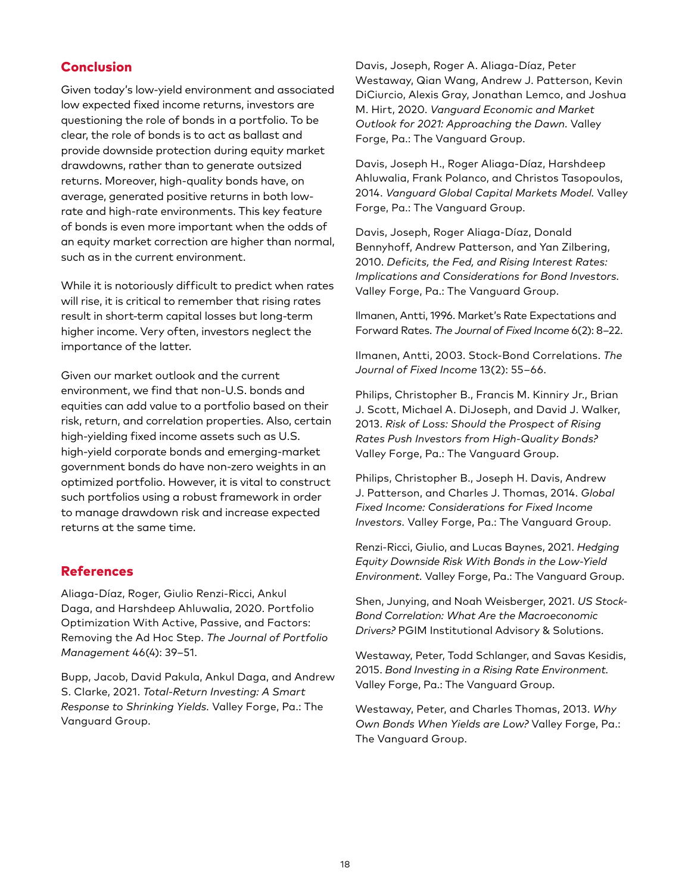# Conclusion

Given today's low-yield environment and associated low expected fixed income returns, investors are questioning the role of bonds in a portfolio. To be clear, the role of bonds is to act as ballast and provide downside protection during equity market drawdowns, rather than to generate outsized returns. Moreover, high-quality bonds have, on average, generated positive returns in both lowrate and high-rate environments. This key feature of bonds is even more important when the odds of an equity market correction are higher than normal, such as in the current environment.

While it is notoriously difficult to predict when rates will rise, it is critical to remember that rising rates result in short-term capital losses but long-term higher income. Very often, investors neglect the importance of the latter.

Given our market outlook and the current environment, we find that non-U.S. bonds and equities can add value to a portfolio based on their risk, return, and correlation properties. Also, certain high-yielding fixed income assets such as U.S. high-yield corporate bonds and emerging-market government bonds do have non-zero weights in an optimized portfolio. However, it is vital to construct such portfolios using a robust framework in order to manage drawdown risk and increase expected returns at the same time.

## References

Aliaga-Díaz, Roger, Giulio Renzi-Ricci, Ankul Daga, and Harshdeep Ahluwalia, 2020. Portfolio Optimization With Active, Passive, and Factors: Removing the Ad Hoc Step. *The Journal of Portfolio Management* 46(4): 39–51.

Bupp, Jacob, David Pakula, Ankul Daga, and Andrew S. Clarke, 2021. *Total-Return Investing: A Smart Response to Shrinking Yields.* Valley Forge, Pa.: The Vanguard Group.

Davis, Joseph, Roger A. Aliaga-Díaz, Peter Westaway, Qian Wang, Andrew J. Patterson, Kevin DiCiurcio, Alexis Gray, Jonathan Lemco, and Joshua M. Hirt, 2020. *Vanguard Economic and Market Outlook for 2021: Approaching the Dawn.* Valley Forge, Pa.: The Vanguard Group.

Davis, Joseph H., Roger Aliaga-Díaz, Harshdeep Ahluwalia, Frank Polanco, and Christos Tasopoulos, 2014. *Vanguard Global Capital Markets Model.* Valley Forge, Pa.: The Vanguard Group.

Davis, Joseph, Roger Aliaga-Díaz, Donald Bennyhoff, Andrew Patterson, and Yan Zilbering, 2010. *Deficits, the Fed, and Rising Interest Rates: Implications and Considerations for Bond Investors.* Valley Forge, Pa.: The Vanguard Group.

Ilmanen, Antti, 1996. Market's Rate Expectations and Forward Rates. *The Journal of Fixed Income* 6(2): 8–22.

Ilmanen, Antti, 2003. Stock-Bond Correlations. *The Journal of Fixed Income* 13(2): 55–66.

Philips, Christopher B., Francis M. Kinniry Jr., Brian J. Scott, Michael A. DiJoseph, and David J. Walker, 2013. *Risk of Loss: Should the Prospect of Rising Rates Push Investors from High-Quality Bonds?* Valley Forge, Pa.: The Vanguard Group.

Philips, Christopher B., Joseph H. Davis, Andrew J. Patterson, and Charles J. Thomas, 2014. *Global Fixed Income: Considerations for Fixed Income Investors.* Valley Forge, Pa.: The Vanguard Group.

Renzi-Ricci, Giulio, and Lucas Baynes, 2021. *Hedging Equity Downside Risk With Bonds in the Low-Yield Environment.* Valley Forge, Pa.: The Vanguard Group.

Shen, Junying, and Noah Weisberger, 2021. *US Stock-Bond Correlation: What Are the Macroeconomic Drivers?* PGIM Institutional Advisory & Solutions.

Westaway, Peter, Todd Schlanger, and Savas Kesidis, 2015. *Bond Investing in a Rising Rate Environment.* Valley Forge, Pa.: The Vanguard Group.

Westaway, Peter, and Charles Thomas, 2013. *Why Own Bonds When Yields are Low?* Valley Forge, Pa.: The Vanguard Group.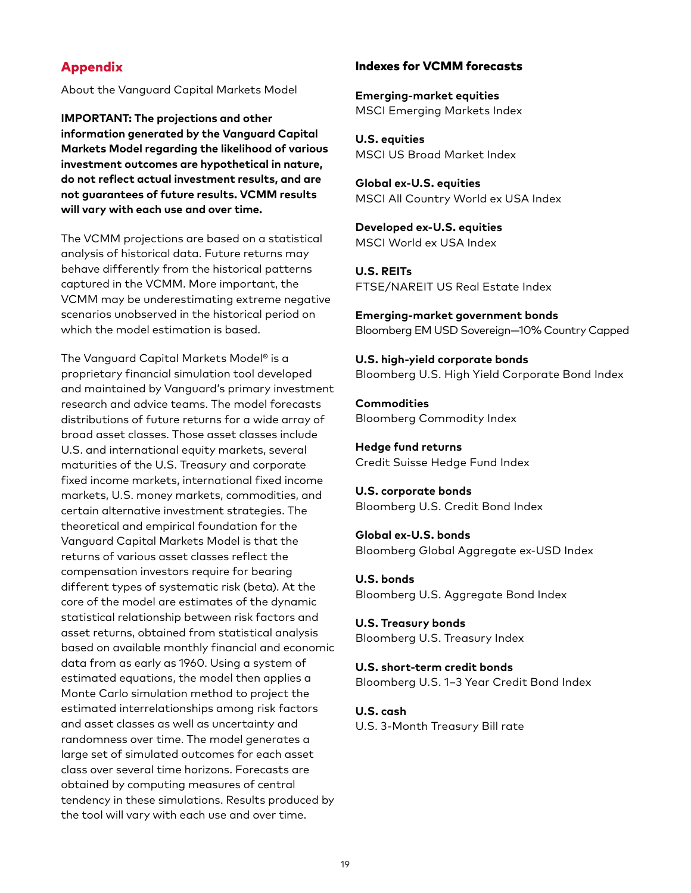# Appendix

About the Vanguard Capital Markets Model

**IMPORTANT: The projections and other information generated by the Vanguard Capital Markets Model regarding the likelihood of various investment outcomes are hypothetical in nature, do not reflect actual investment results, and are not guarantees of future results. VCMM results will vary with each use and over time.**

The VCMM projections are based on a statistical analysis of historical data. Future returns may behave differently from the historical patterns captured in the VCMM. More important, the VCMM may be underestimating extreme negative scenarios unobserved in the historical period on which the model estimation is based.

The Vanguard Capital Markets Model® is a proprietary financial simulation tool developed and maintained by Vanguard's primary investment research and advice teams. The model forecasts distributions of future returns for a wide array of broad asset classes. Those asset classes include U.S. and international equity markets, several maturities of the U.S. Treasury and corporate fixed income markets, international fixed income markets, U.S. money markets, commodities, and certain alternative investment strategies. The theoretical and empirical foundation for the Vanguard Capital Markets Model is that the returns of various asset classes reflect the compensation investors require for bearing different types of systematic risk (beta). At the core of the model are estimates of the dynamic statistical relationship between risk factors and asset returns, obtained from statistical analysis based on available monthly financial and economic data from as early as 1960. Using a system of estimated equations, the model then applies a Monte Carlo simulation method to project the estimated interrelationships among risk factors and asset classes as well as uncertainty and randomness over time. The model generates a large set of simulated outcomes for each asset class over several time horizons. Forecasts are obtained by computing measures of central tendency in these simulations. Results produced by the tool will vary with each use and over time.

### Indexes for VCMM forecasts

**Emerging-market equities** MSCI Emerging Markets Index

**U.S. equities** MSCI US Broad Market Index

**Global ex-U.S. equities** MSCI All Country World ex USA Index

**Developed ex-U.S. equities** MSCI World ex USA Index

**U.S. REITs** FTSE/NAREIT US Real Estate Index

**Emerging-market government bonds** Bloomberg EM USD Sovereign—10% Country Capped

**U.S. high-yield corporate bonds** Bloomberg U.S. High Yield Corporate Bond Index

**Commodities** Bloomberg Commodity Index

**Hedge fund returns** Credit Suisse Hedge Fund Index

**U.S. corporate bonds** Bloomberg U.S. Credit Bond Index

**Global ex-U.S. bonds** Bloomberg Global Aggregate ex-USD Index

**U.S. bonds** Bloomberg U.S. Aggregate Bond Index

**U.S. Treasury bonds** Bloomberg U.S. Treasury Index

**U.S. short-term credit bonds** Bloomberg U.S. 1–3 Year Credit Bond Index

**U.S. cash**

U.S. 3-Month Treasury Bill rate